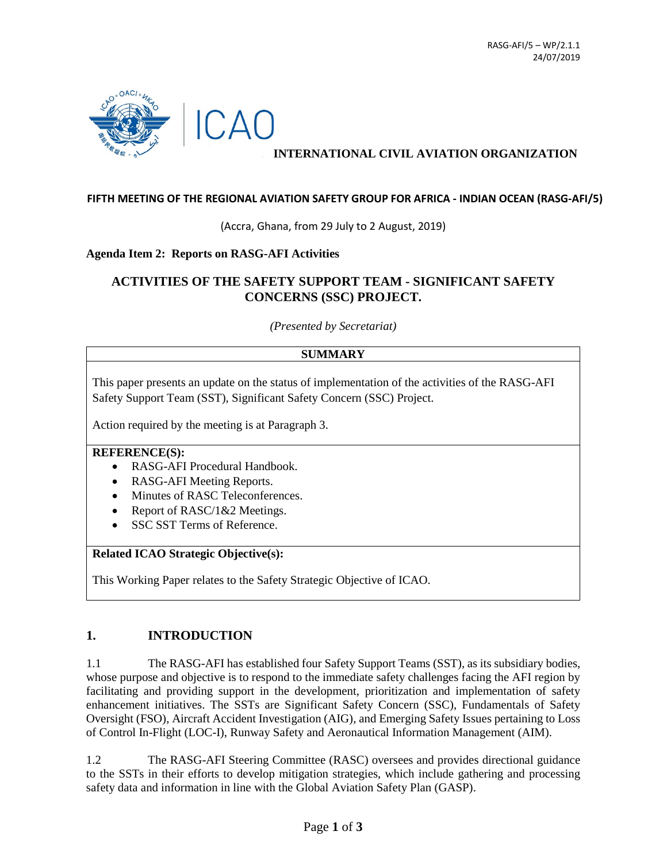

# **INTERNATIONAL CIVIL AVIATION ORGANIZATION**

#### **FIFTH MEETING OF THE REGIONAL AVIATION SAFETY GROUP FOR AFRICA - INDIAN OCEAN (RASG-AFI/5)**

(Accra, Ghana, from 29 July to 2 August, 2019)

#### **Agenda Item 2: Reports on RASG-AFI Activities**

# **ACTIVITIES OF THE SAFETY SUPPORT TEAM - SIGNIFICANT SAFETY CONCERNS (SSC) PROJECT.**

*(Presented by Secretariat)*

#### **SUMMARY**

This paper presents an update on the status of implementation of the activities of the RASG-AFI Safety Support Team (SST), Significant Safety Concern (SSC) Project.

Action required by the meeting is at Paragraph 3.

#### **REFERENCE(S):**

- RASG-AFI Procedural Handbook.
- RASG-AFI Meeting Reports.
- Minutes of RASC Teleconferences.
- Report of RASC/1&2 Meetings.
- SSC SST Terms of Reference.

### **Related ICAO Strategic Objective(s):**

This Working Paper relates to the Safety Strategic Objective of ICAO.

# **1. INTRODUCTION**

1.1 The RASG-AFI has established four Safety Support Teams (SST), as its subsidiary bodies, whose purpose and objective is to respond to the immediate safety challenges facing the AFI region by facilitating and providing support in the development, prioritization and implementation of safety enhancement initiatives. The SSTs are Significant Safety Concern (SSC), Fundamentals of Safety Oversight (FSO), Aircraft Accident Investigation (AIG), and Emerging Safety Issues pertaining to Loss of Control In-Flight (LOC-I), Runway Safety and Aeronautical Information Management (AIM).

1.2 The RASG-AFI Steering Committee (RASC) oversees and provides directional guidance to the SSTs in their efforts to develop mitigation strategies, which include gathering and processing safety data and information in line with the Global Aviation Safety Plan (GASP).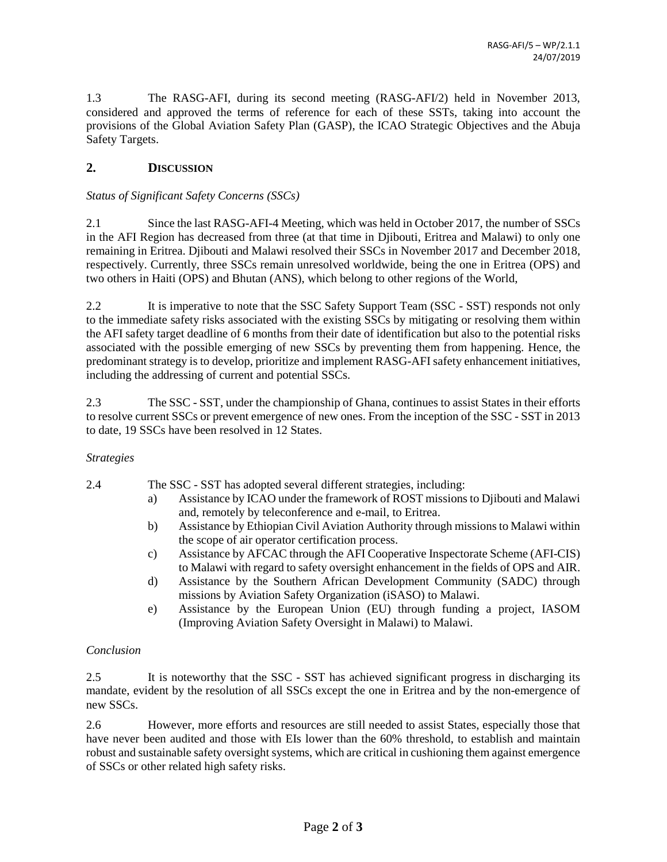1.3 The RASG-AFI, during its second meeting (RASG-AFI/2) held in November 2013, considered and approved the terms of reference for each of these SSTs, taking into account the provisions of the Global Aviation Safety Plan (GASP), the ICAO Strategic Objectives and the Abuja Safety Targets.

# **2. DISCUSSION**

### *Status of Significant Safety Concerns (SSCs)*

2.1 Since the last RASG-AFI-4 Meeting, which was held in October 2017, the number of SSCs in the AFI Region has decreased from three (at that time in Djibouti, Eritrea and Malawi) to only one remaining in Eritrea. Djibouti and Malawi resolved their SSCs in November 2017 and December 2018, respectively. Currently, three SSCs remain unresolved worldwide, being the one in Eritrea (OPS) and two others in Haiti (OPS) and Bhutan (ANS), which belong to other regions of the World,

2.2 It is imperative to note that the SSC Safety Support Team (SSC - SST) responds not only to the immediate safety risks associated with the existing SSCs by mitigating or resolving them within the AFI safety target deadline of 6 months from their date of identification but also to the potential risks associated with the possible emerging of new SSCs by preventing them from happening. Hence, the predominant strategy is to develop, prioritize and implement RASG-AFI safety enhancement initiatives, including the addressing of current and potential SSCs.

2.3 The SSC - SST, under the championship of Ghana, continues to assist States in their efforts to resolve current SSCs or prevent emergence of new ones. From the inception of the SSC - SST in 2013 to date, 19 SSCs have been resolved in 12 States.

### *Strategies*

2.4 The SSC - SST has adopted several different strategies, including:

- a) Assistance by ICAO under the framework of ROST missions to Djibouti and Malawi and, remotely by teleconference and e-mail, to Eritrea.
- b) Assistance by Ethiopian Civil Aviation Authority through missions to Malawi within the scope of air operator certification process.
- c) Assistance by AFCAC through the AFI Cooperative Inspectorate Scheme (AFI-CIS) to Malawi with regard to safety oversight enhancement in the fields of OPS and AIR.
- d) Assistance by the Southern African Development Community (SADC) through missions by Aviation Safety Organization (iSASO) to Malawi.
- e) Assistance by the European Union (EU) through funding a project, IASOM (Improving Aviation Safety Oversight in Malawi) to Malawi.

### *Conclusion*

2.5 It is noteworthy that the SSC - SST has achieved significant progress in discharging its mandate, evident by the resolution of all SSCs except the one in Eritrea and by the non-emergence of new SSCs.

2.6 However, more efforts and resources are still needed to assist States, especially those that have never been audited and those with EIs lower than the 60% threshold, to establish and maintain robust and sustainable safety oversight systems, which are critical in cushioning them against emergence of SSCs or other related high safety risks.